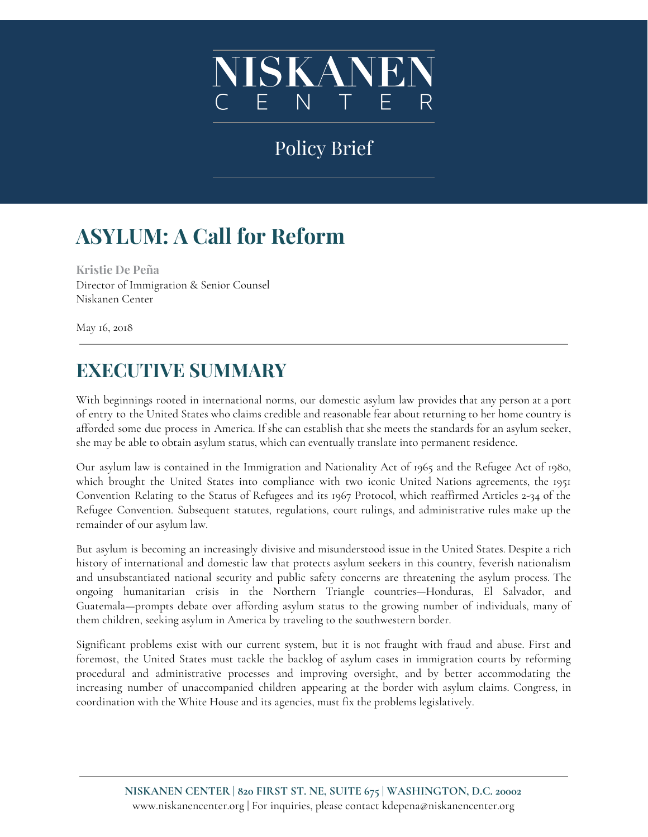

# Policy Brief

# **ASYLUM: A Call for Reform**

**Kristie De Peña** Director of Immigration & Senior Counsel Niskanen Center

May 16, 2018

# **EXECUTIVE SUMMARY**

With beginnings rooted in international norms, our domestic asylum law provides that any person at a port of entry to the United States who claims credible and reasonable fear about returning to her home country is afforded some due process in America. If she can establish that she meets the standards for an asylum seeker, she may be able to obtain asylum status, which can eventually translate into permanent residence.

Our asylum law is contained in the Immigration and Nationality Act of 1965 and the Refugee Act of 1980, which brought the United States into compliance with two iconic United Nations agreements, the 1951 Convention Relating to the Status of Refugees and its 1967 Protocol, which reaffirmed Articles 2-34 of the Refugee Convention. Subsequent statutes, regulations, court rulings, and administrative rules make up the remainder of our asylum law.

But asylum is becoming an increasingly divisive and misunderstood issue in the United States. Despite a rich history of international and domestic law that protects asylum seekers in this country, feverish nationalism and unsubstantiated national security and public safety concerns are threatening the asylum process. The ongoing humanitarian crisis in the Northern Triangle countries—Honduras, El Salvador, and Guatemala—prompts debate over affording asylum status to the growing number of individuals, many of them children, seeking asylum in America by traveling to the southwestern border.

Significant problems exist with our current system, but it is not fraught with fraud and abuse. First and foremost, the United States must tackle the backlog of asylum cases in immigration courts by reforming procedural and administrative processes and improving oversight, and by better accommodating the increasing number of unaccompanied children appearing at the border with asylum claims. Congress, in coordination with the White House and its agencies, must fix the problems legislatively.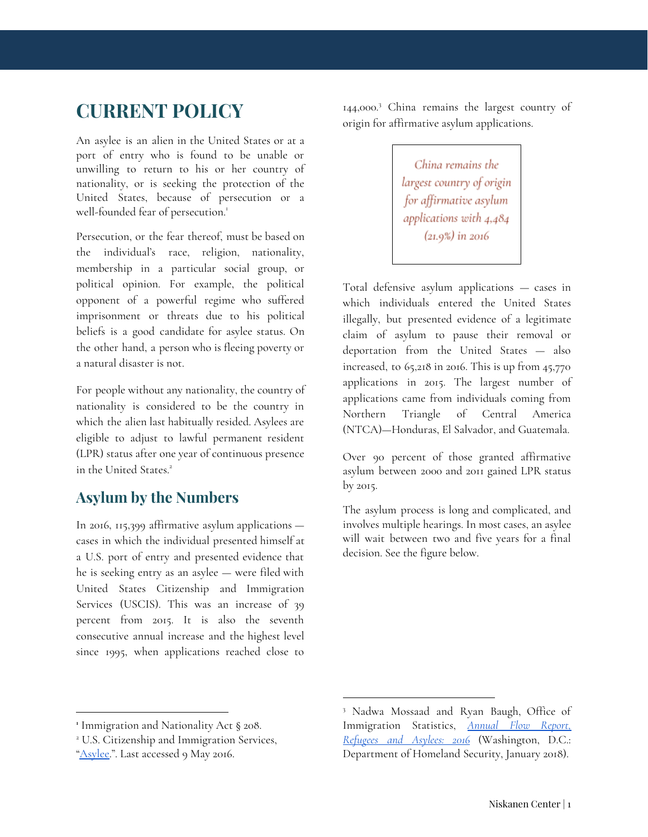# **CURRENT POLICY**

An asylee is an alien in the United States or at a port of entry who is found to be unable or unwilling to return to his or her country of nationality, or is seeking the protection of the United States, because of persecution or a well-founded fear of persecution. 1

Persecution, or the fear thereof, must be based on the individual's race, religion, nationality, membership in a particular social group, or political opinion. For example, the political opponent of a powerful regime who suffered imprisonment or threats due to his political beliefs is a good candidate for asylee status. On the other hand, a person who is fleeing poverty or a natural disaster is not.

For people without any nationality, the country of nationality is considered to be the country in which the alien last habitually resided. Asylees are eligible to adjust to lawful permanent resident (LPR) status after one year of continuous presence in the United States. 2

### **Asylum by the Numbers**

In 2016, 115,399 affirmative asylum applications cases in which the individual presented himself at a U.S. port of entry and presented evidence that he is seeking entry as an asylee — were filed with United States Citizenship and Immigration Services (USCIS). This was an increase of 39 percent from 2015. It is also the seventh consecutive annual increase and the highest level since 1995, when applications reached close to 144,000.<sup>3</sup> China remains the largest country of origin for affirmative asylum applications.

> China remains the largest country of origin for affirmative asylum applications with 4,484  $(21.9%)$  in 2016

Total defensive asylum applications — cases in which individuals entered the United States illegally, but presented evidence of a legitimate claim of asylum to pause their removal or deportation from the United States — also increased, to  $65,218$  in 2016. This is up from  $45,770$ applications in 2015. The largest number of applications came from individuals coming from Northern Triangle of Central America (NTCA)—Honduras, El Salvador, and Guatemala.

Over 90 percent of those granted affirmative asylum between 2000 and 2011 gained LPR status by 2015.

The asylum process is long and complicated, and involves multiple hearings. In most cases, an asylee will wait between two and five years for a final decision. See the figure below.

**<sup>1</sup>** Immigration and Nationality Act § 208.

<sup>2</sup> U.S. Citizenship and Immigration Services,

[<sup>&</sup>quot;Asylee.](https://www.uscis.gov/tools/glossary/asylee)". Last accessed 9 May 2016.

<sup>3</sup> Nadwa Mossaad and Ryan Baugh, Office of Immigration Statistics, *[Annual](https://www.dhs.gov/sites/default/files/publications/Refugees_Asylees_2016_0.pdf) Flow Report, [Refugees](https://www.dhs.gov/sites/default/files/publications/Refugees_Asylees_2016_0.pdf) and Asylees: 2016* (Washington, D.C.: Department of Homeland Security, January 2018).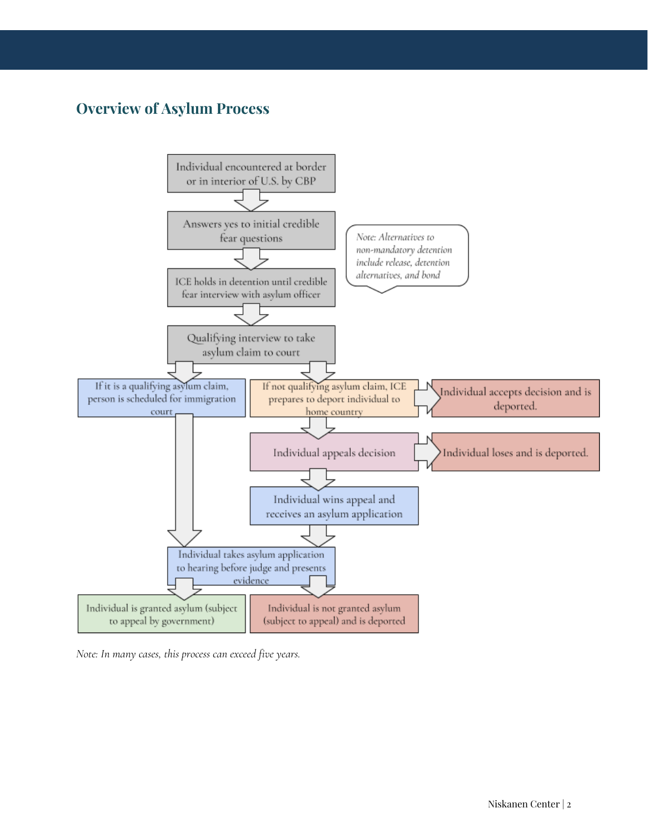### **Overview of Asylum Process**



*Note: In many cases, this process can exceed five years.*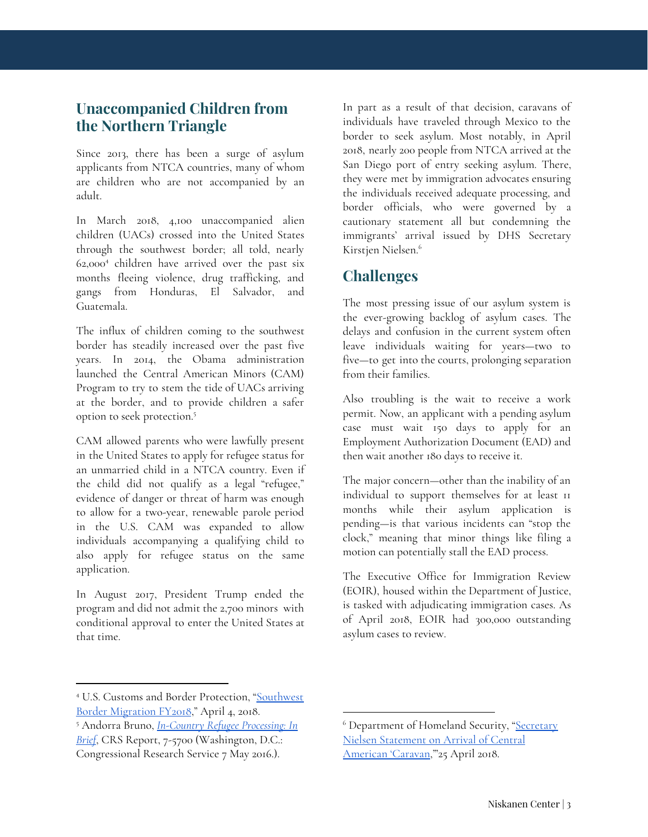### **Unaccompanied Children from the Northern Triangle**

Since 2013, there has been a surge of asylum applicants from NTCA countries, many of whom are children who are not accompanied by an adult.

In March 2018, 4,100 unaccompanied alien children (UACs) crossed into the United States through the southwest border; all told, nearly  $62,000<sup>4</sup>$  children have arrived over the past six months fleeing violence, drug trafficking, and gangs from Honduras, El Salvador, and Guatemala.

The influx of children coming to the southwest border has steadily increased over the past five years. In 2014, the Obama administration launched the Central American Minors (CAM) Program to try to stem the tide of UACs arriving at the border, and to provide children a safer option to seek protection. 5

CAM allowed parents who were lawfully present in the United States to apply for refugee status for an unmarried child in a NTCA country. Even if the child did not qualify as a legal "refugee," evidence of danger or threat of harm was enough to allow for a two-year, renewable parole period in the U.S. CAM was expanded to allow individuals accompanying a qualifying child to also apply for refugee status on the same application.

In August 2017, President Trump ended the program and did not admit the 2,700 minors with conditional approval to enter the United States at that time.

In part as a result of that decision, caravans of individuals have traveled through Mexico to the border to seek asylum. Most notably, in April 2018, nearly 200 people from NTCA arrived at the San Diego port of entry seeking asylum. There, they were met by immigration advocates ensuring the individuals received adequate processing, and border officials, who were governed by a cautionary statement all but condemning the immigrants' arrival issued by DHS Secretary Kirstjen Nielsen. 6

### **Challenges**

The most pressing issue of our asylum system is the ever-growing backlog of asylum cases. The delays and confusion in the current system often leave individuals waiting for years—two to five—to get into the courts, prolonging separation from their families.

Also troubling is the wait to receive a work permit. Now, an applicant with a pending asylum case must wait 150 days to apply for an Employment Authorization Document (EAD) and then wait another 180 days to receive it.

The major concern—other than the inability of an individual to support themselves for at least 11 months while their asylum application is pending—is that various incidents can "stop the clock," meaning that minor things like filing a motion can potentially stall the EAD process.

The Executive Office for Immigration Review (EOIR), housed within the Department of Justice, is tasked with adjudicating immigration cases. As of April 2018, EOIR had 300,000 outstanding asylum cases to review.

<sup>4</sup> U.S. Customs and Border Protection, ["Southwest](https://www.cbp.gov/newsroom/stats/sw-border-migration) Border [Migration](https://www.cbp.gov/newsroom/stats/sw-border-migration) FY2018," April 4, 2018.

<sup>5</sup> Andorra Bruno, *[In-Country](https://fas.org/sgp/crs/homesec/R44020.pdf) Refugee Processing: In [Brief](https://fas.org/sgp/crs/homesec/R44020.pdf)*, CRS Report, 7-5700 (Washington, D.C.: Congressional Research Service 7 May 2016.).

<sup>&</sup>lt;sup>6</sup> Department of Homeland Security, "[Secretary](https://www.dhs.gov/news/2018/04/25/secretary-nielsen-statement-arrival-central-american-caravan) Nielsen [Statement](https://www.dhs.gov/news/2018/04/25/secretary-nielsen-statement-arrival-central-american-caravan) on Arrival of Central [American](https://www.dhs.gov/news/2018/04/25/secretary-nielsen-statement-arrival-central-american-caravan) 'Caravan,"25 April 2018.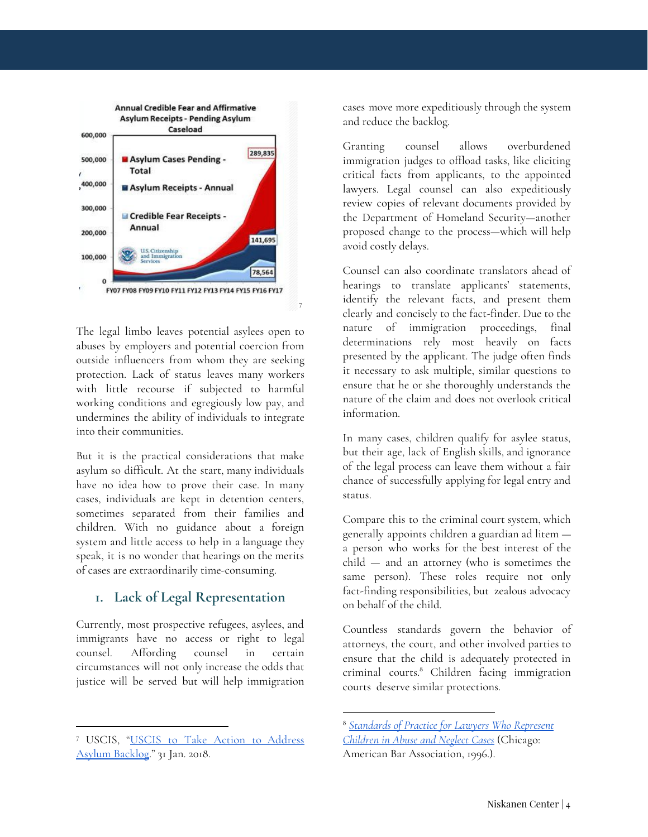

The legal limbo leaves potential asylees open to abuses by employers and potential coercion from outside influencers from whom they are seeking protection. Lack of status leaves many workers with little recourse if subjected to harmful working conditions and egregiously low pay, and undermines the ability of individuals to integrate into their communities.

But it is the practical considerations that make asylum so difficult. At the start, many individuals have no idea how to prove their case. In many cases, individuals are kept in detention centers, sometimes separated from their families and children. With no guidance about a foreign system and little access to help in a language they speak, it is no wonder that hearings on the merits of cases are extraordinarily time-consuming.

#### **1. Lack of Legal Representation**

Currently, most prospective refugees, asylees, and immigrants have no access or right to legal counsel. Affording counsel in certain circumstances will not only increase the odds that justice will be served but will help immigration

cases move more expeditiously through the system and reduce the backlog.

Granting counsel allows overburdened immigration judges to offload tasks, like eliciting critical facts from applicants, to the appointed lawyers. Legal counsel can also expeditiously review copies of relevant documents provided by the Department of Homeland Security—another proposed change to the process—which will help avoid costly delays.

Counsel can also coordinate translators ahead of hearings to translate applicants' statements, identify the relevant facts, and present them clearly and concisely to the fact-finder. Due to the nature of immigration proceedings, final determinations rely most heavily on facts presented by the applicant. The judge often finds it necessary to ask multiple, similar questions to ensure that he or she thoroughly understands the nature of the claim and does not overlook critical information.

In many cases, children qualify for asylee status, but their age, lack of English skills, and ignorance of the legal process can leave them without a fair chance of successfully applying for legal entry and status.

Compare this to the criminal court system, which generally appoints children a guardian ad litem a person who works for the best interest of the child — and an attorney (who is sometimes the same person). These roles require not only fact-finding responsibilities, but zealous advocacy on behalf of the child.

Countless standards govern the behavior of attorneys, the court, and other involved parties to ensure that the child is adequately protected in criminal courts.<sup>8</sup> Children facing immigration courts deserve similar protections.

<sup>7</sup> USCIS, "USCIS to Take Action to [Address](https://www.uscis.gov/news/news-releases/uscis-take-action-address-asylum-backlog) Asylum [Backlog](https://www.uscis.gov/news/news-releases/uscis-take-action-address-asylum-backlog)." 31 Jan. 2018.

<sup>8</sup> *[Standards](https://www.americanbar.org/content/dam/aba/migrated/family/reports/standards_abuseneglect.authcheckdam.pdf) of Practice for Lawyers Who Represent [Children](https://www.americanbar.org/content/dam/aba/migrated/family/reports/standards_abuseneglect.authcheckdam.pdf) in Abuse and Neglect Cases* (Chicago: American Bar Association, 1996.).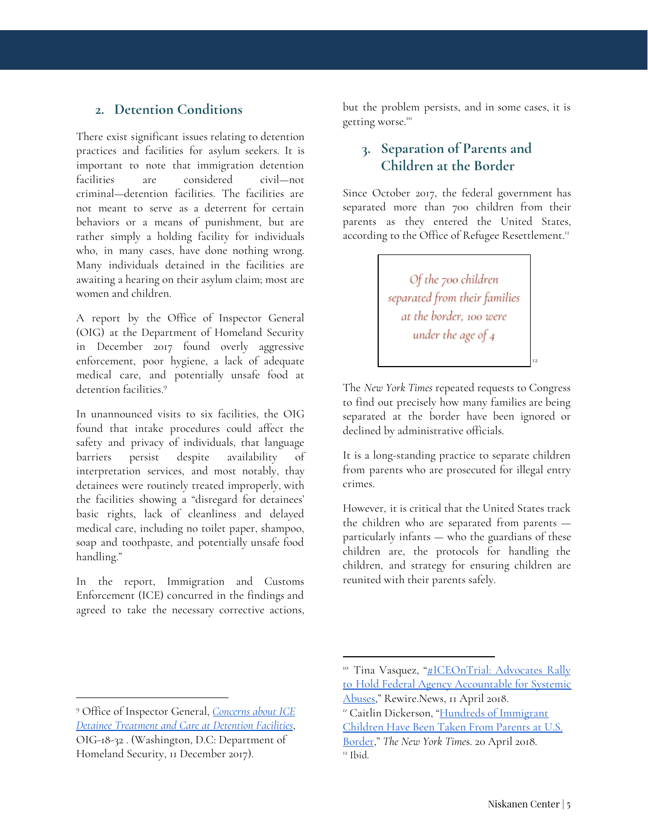#### **2. Detention Conditions**

There exist significant issues relating to detention practices and facilities for asylum seekers. It is important to note that immigration detention facilities are considered civil—not criminal—detention facilities. The facilities are not meant to serve as a deterrent for certain behaviors or a means of punishment, but are rather simply a holding facility for individuals who, in many cases, have done nothing wrong. Many individuals detained in the facilities are awaiting a hearing on their asylum claim; most are women and children.

A report by the Office of Inspector General (OIG) at the Department of Homeland Security in December 2017 found overly aggressive enforcement, poor hygiene, a lack of adequate medical care, and potentially unsafe food at detention facilities. 9

In unannounced visits to six facilities, the OIG found that intake procedures could affect the safety and privacy of individuals, that language barriers persist despite availability of interpretation services, and most notably, thay detainees were routinely treated improperly, with the facilities showing a "disregard for detainees' basic rights, lack of cleanliness and delayed medical care, including no toilet paper, shampoo, soap and toothpaste, and potentially unsafe food handling."

In the report, Immigration and Customs Enforcement (ICE) concurred in the findings and agreed to take the necessary corrective actions, but the problem persists, and in some cases, it is getting worse. 10

#### **3. Separation of Parents and Children at the Border**

Since October 2017, the federal government has separated more than 700 children from their parents as they entered the United States, according to the Office of Refugee Resettlement."

> Of the 700 children separated from their families at the border, 100 were under the age of 4

The *New York Times* repeated requests to Congress to find out precisely how many families are being separated at the border have been ignored or declined by administrative officials.

12

It is a long-standing practice to separate children from parents who are prosecuted for illegal entry crimes.

However, it is critical that the United States track the children who are separated from parents particularly infants — who the guardians of these children are, the protocols for handling the children, and strategy for ensuring children are reunited with their parents safely.

<sup>9</sup> Office of Inspector General, *[Concerns](https://www.oig.dhs.gov/sites/default/files/assets/2017-12/OIG-18-32-Dec17.pdf) about ICE Detainee [Treatment](https://www.oig.dhs.gov/sites/default/files/assets/2017-12/OIG-18-32-Dec17.pdf) and Care at Detention Facilities*, OIG-18-32 . (Washington, D.C: Department of Homeland Security, 11 December 2017).

<sup>&</sup>lt;sup>10</sup> Tina Vasquez, "[#ICEOnTrial:](https://rewire.news/article/2018/04/11/iceontrial-advocates-rally-hold-federal-agency-accountable-systemic-abuses/) Advocates Rally to Hold Federal Agency [Accountable](https://rewire.news/article/2018/04/11/iceontrial-advocates-rally-hold-federal-agency-accountable-systemic-abuses/) for Systemic [Abuses,](https://rewire.news/article/2018/04/11/iceontrial-advocates-rally-hold-federal-agency-accountable-systemic-abuses/)" Rewire.News, 11 April 2018.

*<sup>11</sup>* Caitlin Dickerson, "Hundreds of [Immigrant](https://www.nytimes.com/2018/04/20/us/immigrant-children-separation-ice.html) [Children](https://www.nytimes.com/2018/04/20/us/immigrant-children-separation-ice.html) Have Been Taken From Parents at U.S. [Border](https://www.nytimes.com/2018/04/20/us/immigrant-children-separation-ice.html)," *The New York Time*s. 20 April 2018. 12 Ibid.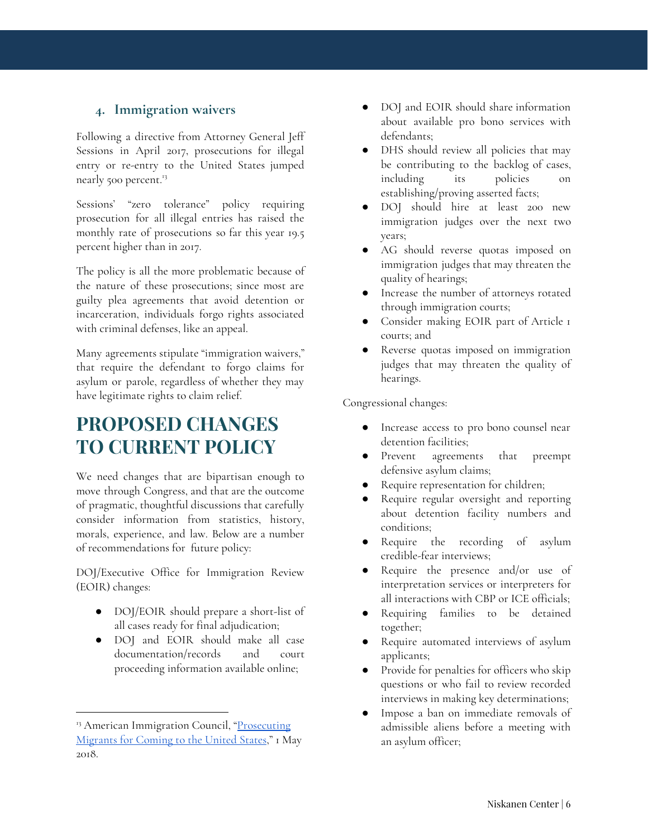#### **4. Immigration waivers**

Following a directive from Attorney General Jeff Sessions in April 2017, prosecutions for illegal entry or re-entry to the United States jumped nearly 500 percent.<sup>13</sup>

Sessions' "zero tolerance" policy requiring prosecution for all illegal entries has raised the monthly rate of prosecutions so far this year 19.5 percent higher than in 2017.

The policy is all the more problematic because of the nature of these prosecutions; since most are guilty plea agreements that avoid detention or incarceration, individuals forgo rights associated with criminal defenses, like an appeal.

Many agreements stipulate "immigration waivers," that require the defendant to forgo claims for asylum or parole, regardless of whether they may have legitimate rights to claim relief.

## **PROPOSED CHANGES TO CURRENT POLICY**

We need changes that are bipartisan enough to move through Congress, and that are the outcome of pragmatic, thoughtful discussions that carefully consider information from statistics, history, morals, experience, and law. Below are a number of recommendations for future policy:

DOJ/Executive Office for Immigration Review (EOIR) changes:

- DOJ/EOIR should prepare a short-list of all cases ready for final adjudication;
- DOJ and EOIR should make all case documentation/records and court proceeding information available online;
- DOJ and EOIR should share information about available pro bono services with defendants;
- DHS should review all policies that may be contributing to the backlog of cases, including its policies on establishing/proving asserted facts;
- DOJ should hire at least 200 new immigration judges over the next two years;
- AG should reverse quotas imposed on immigration judges that may threaten the quality of hearings;
- Increase the number of attorneys rotated through immigration courts;
- Consider making EOIR part of Article 1 courts; and
- Reverse quotas imposed on immigration judges that may threaten the quality of hearings.

Congressional changes:

- Increase access to pro bono counsel near detention facilities;
- Prevent agreements that preempt defensive asylum claims;
- Require representation for children;
- Require regular oversight and reporting about detention facility numbers and conditions;
- Require the recording of asylum credible-fear interviews;
- Require the presence and/or use of interpretation services or interpreters for all interactions with CBP or ICE officials;
- Requiring families to be detained together;
- Require automated interviews of asylum applicants;
- Provide for penalties for officers who skip questions or who fail to review recorded interviews in making key determinations;
- Impose a ban on immediate removals of admissible aliens before a meeting with an asylum officer;

<sup>&</sup>lt;sup>13</sup> American Immigration Council, ["Prosecuting](https://www.americanimmigrationcouncil.org/research/immigration-prosecutions) [Migrants](https://www.americanimmigrationcouncil.org/research/immigration-prosecutions) for Coming to the United States," 1 May 2018.